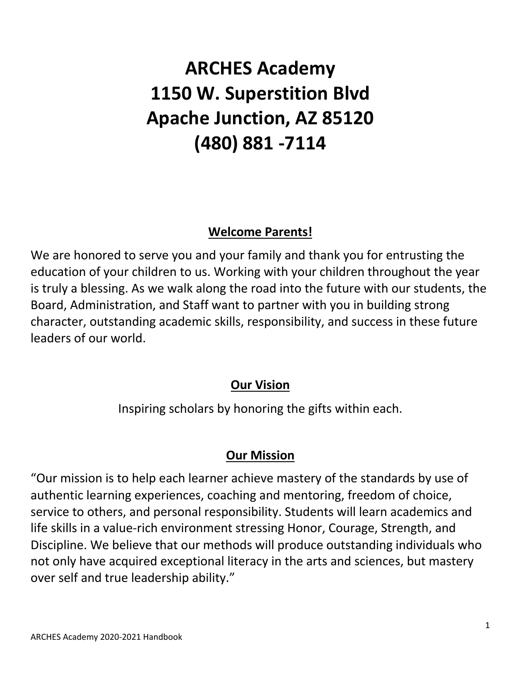# **ARCHES Academy 1150 W. Superstition Blvd Apache Junction, AZ 85120 (480) 881 -7114**

# **Welcome Parents!**

We are honored to serve you and your family and thank you for entrusting the education of your children to us. Working with your children throughout the year is truly a blessing. As we walk along the road into the future with our students, the Board, Administration, and Staff want to partner with you in building strong character, outstanding academic skills, responsibility, and success in these future leaders of our world.

# **Our Vision**

Inspiring scholars by honoring the gifts within each.

# **Our Mission**

"Our mission is to help each learner achieve mastery of the standards by use of authentic learning experiences, coaching and mentoring, freedom of choice, service to others, and personal responsibility. Students will learn academics and life skills in a value-rich environment stressing Honor, Courage, Strength, and Discipline. We believe that our methods will produce outstanding individuals who not only have acquired exceptional literacy in the arts and sciences, but mastery over self and true leadership ability."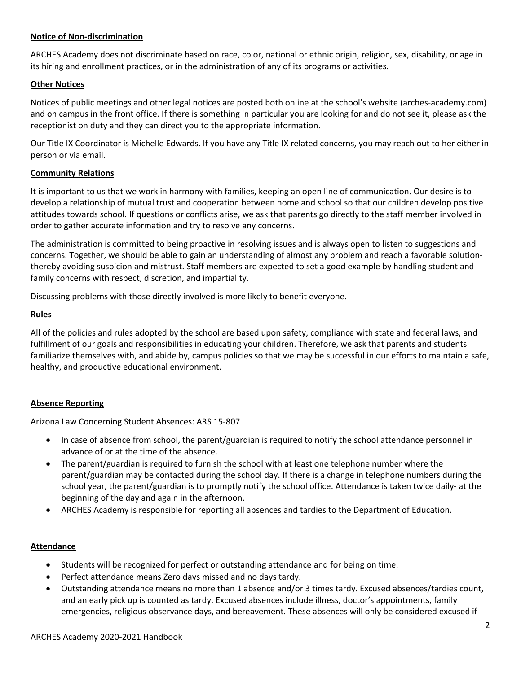#### **Notice of Non-discrimination**

ARCHES Academy does not discriminate based on race, color, national or ethnic origin, religion, sex, disability, or age in its hiring and enrollment practices, or in the administration of any of its programs or activities.

#### **Other Notices**

Notices of public meetings and other legal notices are posted both online at the school's website (arches-academy.com) and on campus in the front office. If there is something in particular you are looking for and do not see it, please ask the receptionist on duty and they can direct you to the appropriate information.

Our Title IX Coordinator is Michelle Edwards. If you have any Title IX related concerns, you may reach out to her either in person or via email.

#### **Community Relations**

It is important to us that we work in harmony with families, keeping an open line of communication. Our desire is to develop a relationship of mutual trust and cooperation between home and school so that our children develop positive attitudes towards school. If questions or conflicts arise, we ask that parents go directly to the staff member involved in order to gather accurate information and try to resolve any concerns.

The administration is committed to being proactive in resolving issues and is always open to listen to suggestions and concerns. Together, we should be able to gain an understanding of almost any problem and reach a favorable solutionthereby avoiding suspicion and mistrust. Staff members are expected to set a good example by handling student and family concerns with respect, discretion, and impartiality.

Discussing problems with those directly involved is more likely to benefit everyone.

#### **Rules**

All of the policies and rules adopted by the school are based upon safety, compliance with state and federal laws, and fulfillment of our goals and responsibilities in educating your children. Therefore, we ask that parents and students familiarize themselves with, and abide by, campus policies so that we may be successful in our efforts to maintain a safe, healthy, and productive educational environment.

#### **Absence Reporting**

Arizona Law Concerning Student Absences: ARS 15-807

- In case of absence from school, the parent/guardian is required to notify the school attendance personnel in advance of or at the time of the absence.
- The parent/guardian is required to furnish the school with at least one telephone number where the parent/guardian may be contacted during the school day. If there is a change in telephone numbers during the school year, the parent/guardian is to promptly notify the school office. Attendance is taken twice daily- at the beginning of the day and again in the afternoon.
- ARCHES Academy is responsible for reporting all absences and tardies to the Department of Education.

#### **Attendance**

- Students will be recognized for perfect or outstanding attendance and for being on time.
- Perfect attendance means Zero days missed and no days tardy.
- Outstanding attendance means no more than 1 absence and/or 3 times tardy. Excused absences/tardies count, and an early pick up is counted as tardy. Excused absences include illness, doctor's appointments, family emergencies, religious observance days, and bereavement. These absences will only be considered excused if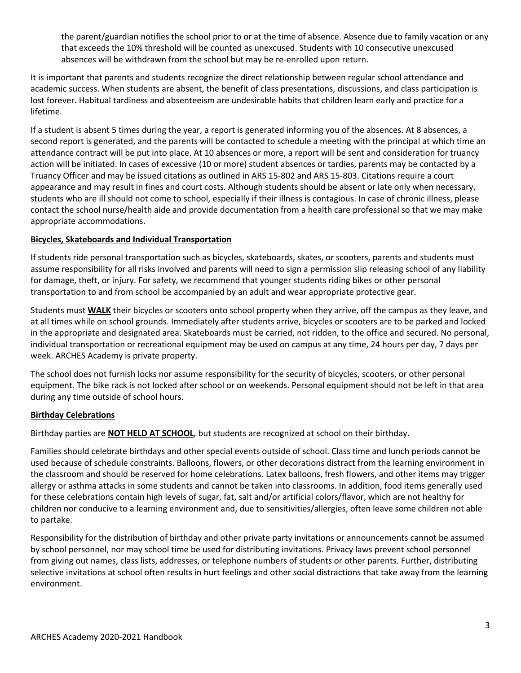the parent/guardian notifies the school prior to or at the time of absence. Absence due to family vacation or any that exceeds the 10% threshold will be counted as unexcused. Students with 10 consecutive unexcused absences will be withdrawn from the school but may be re-enrolled upon return.

It is important that parents and students recognize the direct relationship between regular school attendance and academic success. When students are absent, the benefit of class presentations, discussions, and class participation is lost forever. Habitual tardiness and absenteeism are undesirable habits that children learn early and practice for a lifetime.

If a student is absent 5 times during the year, a report is generated informing you of the absences. At 8 absences, a second report is generated, and the parents will be contacted to schedule a meeting with the principal at which time an attendance contract will be put into place. At 10 absences or more, a report will be sent and consideration for truancy action will be initiated. In cases of excessive (10 or more) student absences or tardies, parents may be contacted by a Truancy Officer and may be issued citations as outlined in ARS 15-802 and ARS 15-803. Citations require a court appearance and may result in fines and court costs. Although students should be absent or late only when necessary, students who are ill should not come to school, especially if their illness is contagious. In case of chronic illness, please contact the school nurse/health aide and provide documentation from a health care professional so that we may make appropriate accommodations.

#### **Bicycles, Skateboards and Individual Transportation**

If students ride personal transportation such as bicycles, skateboards, skates, or scooters, parents and students must assume responsibility for all risks involved and parents will need to sign a permission slip releasing school of any liability for damage, theft, or injury. For safety, we recommend that younger students riding bikes or other personal transportation to and from school be accompanied by an adult and wear appropriate protective gear.

Students must **WALK** their bicycles or scooters onto school property when they arrive, off the campus as they leave, and at all times while on school grounds. Immediately after students arrive, bicycles or scooters are to be parked and locked in the appropriate and designated area. Skateboards must be carried, not ridden, to the office and secured. No personal, individual transportation or recreational equipment may be used on campus at any time, 24 hours per day, 7 days per week. ARCHES Academy is private property.

The school does not furnish locks nor assume responsibility for the security of bicycles, scooters, or other personal equipment. The bike rack is not locked after school or on weekends. Personal equipment should not be left in that area during any time outside of school hours.

#### **Birthday Celebrations**

Birthday parties are **NOT HELD AT SCHOOL**, but students are recognized at school on their birthday.

Families should celebrate birthdays and other special events outside of school. Class time and lunch periods cannot be used because of schedule constraints. Balloons, flowers, or other decorations distract from the learning environment in the classroom and should be reserved for home celebrations. Latex balloons, fresh flowers, and other items may trigger allergy or asthma attacks in some students and cannot be taken into classrooms. In addition, food items generally used for these celebrations contain high levels of sugar, fat, salt and/or artificial colors/flavor, which are not healthy for children nor conducive to a learning environment and, due to sensitivities/allergies, often leave some children not able to partake.

Responsibility for the distribution of birthday and other private party invitations or announcements cannot be assumed by school personnel, nor may school time be used for distributing invitations. Privacy laws prevent school personnel from giving out names, class lists, addresses, or telephone numbers of students or other parents. Further, distributing selective invitations at school often results in hurt feelings and other social distractions that take away from the learning environment.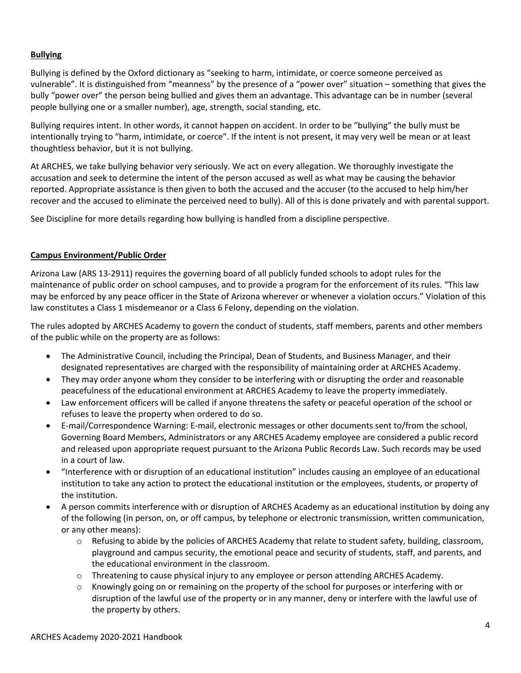#### **Bullying**

Bullying is defined by the Oxford dictionary as "seeking to harm, intimidate, or coerce someone perceived as vulnerable". It is distinguished from "meanness" by the presence of a "power over" situation – something that gives the bully "power over" the person being bullied and gives them an advantage. This advantage can be in number (several people bullying one or a smaller number), age, strength, social standing, etc.

Bullying requires intent. In other words, it cannot happen on accident. In order to be "bullying" the bully must be intentionally trying to "harm, intimidate, or coerce". If the intent is not present, it may very well be mean or at least thoughtless behavior, but it is not bullying.

At ARCHES, we take bullying behavior very seriously. We act on every allegation. We thoroughly investigate the accusation and seek to determine the intent of the person accused as well as what may be causing the behavior reported. Appropriate assistance is then given to both the accused and the accuser (to the accused to help him/her recover and the accused to eliminate the perceived need to bully). All of this is done privately and with parental support.

See Discipline for more details regarding how bullying is handled from a discipline perspective.

#### **Campus Environment/Public Order**

Arizona Law (ARS 13-2911) requires the governing board of all publicly funded schools to adopt rules for the maintenance of public order on school campuses, and to provide a program for the enforcement of its rules. "This law may be enforced by any peace officer in the State of Arizona wherever or whenever a violation occurs." Violation of this law constitutes a Class 1 misdemeanor or a Class 6 Felony, depending on the violation.

The rules adopted by ARCHES Academy to govern the conduct of students, staff members, parents and other members of the public while on the property are as follows:

- The Administrative Council, including the Principal, Dean of Students, and Business Manager, and their designated representatives are charged with the responsibility of maintaining order at ARCHES Academy.
- They may order anyone whom they consider to be interfering with or disrupting the order and reasonable peacefulness of the educational environment at ARCHES Academy to leave the property immediately.
- Law enforcement officers will be called if anyone threatens the safety or peaceful operation of the school or refuses to leave the property when ordered to do so.
- E-mail/Correspondence Warning: E-mail, electronic messages or other documents sent to/from the school, Governing Board Members, Administrators or any ARCHES Academy employee are considered a public record and released upon appropriate request pursuant to the Arizona Public Records Law. Such records may be used in a court of law.
- "Interference with or disruption of an educational institution" includes causing an employee of an educational institution to take any action to protect the educational institution or the employees, students, or property of the institution.
- A person commits interference with or disruption of ARCHES Academy as an educational institution by doing any of the following (in person, on, or off campus, by telephone or electronic transmission, written communication, or any other means):
	- o Refusing to abide by the policies of ARCHES Academy that relate to student safety, building, classroom, playground and campus security, the emotional peace and security of students, staff, and parents, and the educational environment in the classroom.
	- o Threatening to cause physical injury to any employee or person attending ARCHES Academy.
	- $\circ$  Knowingly going on or remaining on the property of the school for purposes or interfering with or disruption of the lawful use of the property or in any manner, deny or interfere with the lawful use of the property by others.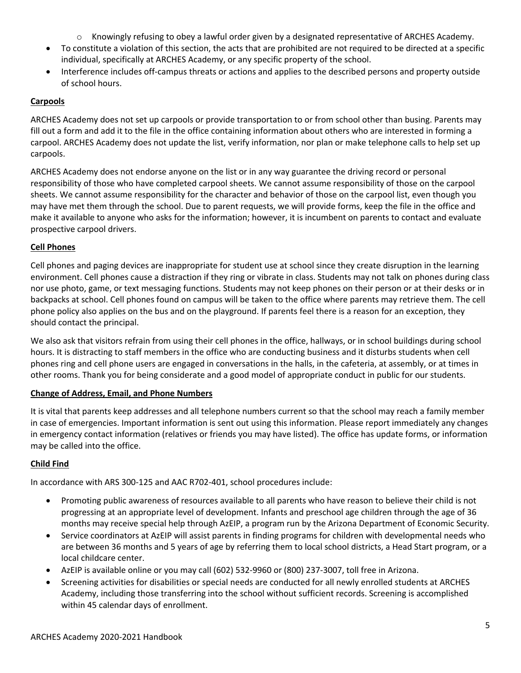- o Knowingly refusing to obey a lawful order given by a designated representative of ARCHES Academy.
- To constitute a violation of this section, the acts that are prohibited are not required to be directed at a specific individual, specifically at ARCHES Academy, or any specific property of the school.
- Interference includes off-campus threats or actions and applies to the described persons and property outside of school hours.

#### **Carpools**

ARCHES Academy does not set up carpools or provide transportation to or from school other than busing. Parents may fill out a form and add it to the file in the office containing information about others who are interested in forming a carpool. ARCHES Academy does not update the list, verify information, nor plan or make telephone calls to help set up carpools.

ARCHES Academy does not endorse anyone on the list or in any way guarantee the driving record or personal responsibility of those who have completed carpool sheets. We cannot assume responsibility of those on the carpool sheets. We cannot assume responsibility for the character and behavior of those on the carpool list, even though you may have met them through the school. Due to parent requests, we will provide forms, keep the file in the office and make it available to anyone who asks for the information; however, it is incumbent on parents to contact and evaluate prospective carpool drivers.

#### **Cell Phones**

Cell phones and paging devices are inappropriate for student use at school since they create disruption in the learning environment. Cell phones cause a distraction if they ring or vibrate in class. Students may not talk on phones during class nor use photo, game, or text messaging functions. Students may not keep phones on their person or at their desks or in backpacks at school. Cell phones found on campus will be taken to the office where parents may retrieve them. The cell phone policy also applies on the bus and on the playground. If parents feel there is a reason for an exception, they should contact the principal.

We also ask that visitors refrain from using their cell phones in the office, hallways, or in school buildings during school hours. It is distracting to staff members in the office who are conducting business and it disturbs students when cell phones ring and cell phone users are engaged in conversations in the halls, in the cafeteria, at assembly, or at times in other rooms. Thank you for being considerate and a good model of appropriate conduct in public for our students.

#### **Change of Address, Email, and Phone Numbers**

It is vital that parents keep addresses and all telephone numbers current so that the school may reach a family member in case of emergencies. Important information is sent out using this information. Please report immediately any changes in emergency contact information (relatives or friends you may have listed). The office has update forms, or information may be called into the office.

#### **Child Find**

In accordance with ARS 300-125 and AAC R702-401, school procedures include:

- Promoting public awareness of resources available to all parents who have reason to believe their child is not progressing at an appropriate level of development. Infants and preschool age children through the age of 36 months may receive special help through AzEIP, a program run by the Arizona Department of Economic Security.
- Service coordinators at AzEIP will assist parents in finding programs for children with developmental needs who are between 36 months and 5 years of age by referring them to local school districts, a Head Start program, or a local childcare center.
- AzEIP is available online or you may call (602) 532-9960 or (800) 237-3007, toll free in Arizona.
- Screening activities for disabilities or special needs are conducted for all newly enrolled students at ARCHES Academy, including those transferring into the school without sufficient records. Screening is accomplished within 45 calendar days of enrollment.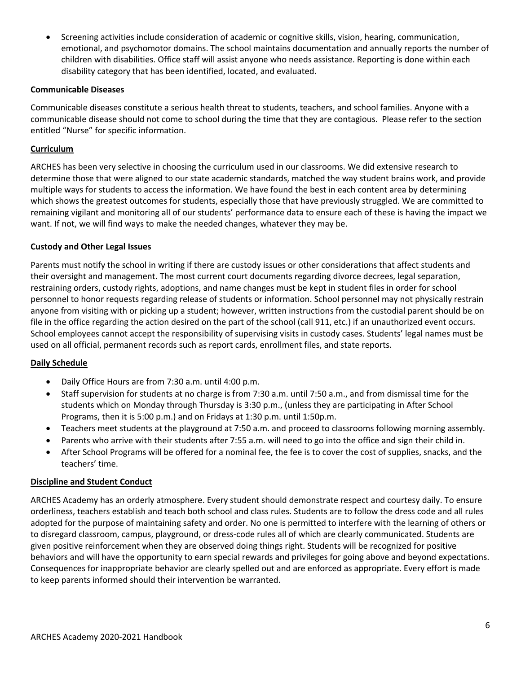• Screening activities include consideration of academic or cognitive skills, vision, hearing, communication, emotional, and psychomotor domains. The school maintains documentation and annually reports the number of children with disabilities. Office staff will assist anyone who needs assistance. Reporting is done within each disability category that has been identified, located, and evaluated.

#### **Communicable Diseases**

Communicable diseases constitute a serious health threat to students, teachers, and school families. Anyone with a communicable disease should not come to school during the time that they are contagious. Please refer to the section entitled "Nurse" for specific information.

#### **Curriculum**

ARCHES has been very selective in choosing the curriculum used in our classrooms. We did extensive research to determine those that were aligned to our state academic standards, matched the way student brains work, and provide multiple ways for students to access the information. We have found the best in each content area by determining which shows the greatest outcomes for students, especially those that have previously struggled. We are committed to remaining vigilant and monitoring all of our students' performance data to ensure each of these is having the impact we want. If not, we will find ways to make the needed changes, whatever they may be.

#### **Custody and Other Legal Issues**

Parents must notify the school in writing if there are custody issues or other considerations that affect students and their oversight and management. The most current court documents regarding divorce decrees, legal separation, restraining orders, custody rights, adoptions, and name changes must be kept in student files in order for school personnel to honor requests regarding release of students or information. School personnel may not physically restrain anyone from visiting with or picking up a student; however, written instructions from the custodial parent should be on file in the office regarding the action desired on the part of the school (call 911, etc.) if an unauthorized event occurs. School employees cannot accept the responsibility of supervising visits in custody cases. Students' legal names must be used on all official, permanent records such as report cards, enrollment files, and state reports.

#### **Daily Schedule**

- Daily Office Hours are from 7:30 a.m. until 4:00 p.m.
- Staff supervision for students at no charge is from 7:30 a.m. until 7:50 a.m., and from dismissal time for the students which on Monday through Thursday is 3:30 p.m., (unless they are participating in After School Programs, then it is 5:00 p.m.) and on Fridays at 1:30 p.m. until 1:50p.m.
- Teachers meet students at the playground at 7:50 a.m. and proceed to classrooms following morning assembly.
- Parents who arrive with their students after 7:55 a.m. will need to go into the office and sign their child in.
- After School Programs will be offered for a nominal fee, the fee is to cover the cost of supplies, snacks, and the teachers' time.

#### **Discipline and Student Conduct**

ARCHES Academy has an orderly atmosphere. Every student should demonstrate respect and courtesy daily. To ensure orderliness, teachers establish and teach both school and class rules. Students are to follow the dress code and all rules adopted for the purpose of maintaining safety and order. No one is permitted to interfere with the learning of others or to disregard classroom, campus, playground, or dress-code rules all of which are clearly communicated. Students are given positive reinforcement when they are observed doing things right. Students will be recognized for positive behaviors and will have the opportunity to earn special rewards and privileges for going above and beyond expectations. Consequences for inappropriate behavior are clearly spelled out and are enforced as appropriate. Every effort is made to keep parents informed should their intervention be warranted.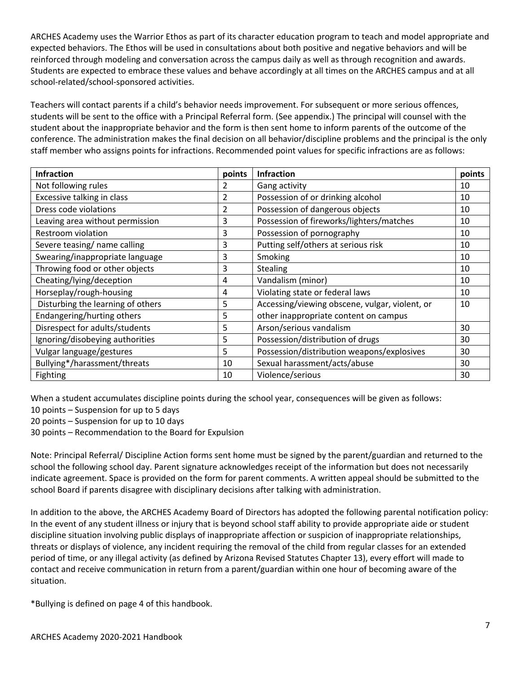ARCHES Academy uses the Warrior Ethos as part of its character education program to teach and model appropriate and expected behaviors. The Ethos will be used in consultations about both positive and negative behaviors and will be reinforced through modeling and conversation across the campus daily as well as through recognition and awards. Students are expected to embrace these values and behave accordingly at all times on the ARCHES campus and at all school-related/school-sponsored activities.

Teachers will contact parents if a child's behavior needs improvement. For subsequent or more serious offences, students will be sent to the office with a Principal Referral form. (See appendix.) The principal will counsel with the student about the inappropriate behavior and the form is then sent home to inform parents of the outcome of the conference. The administration makes the final decision on all behavior/discipline problems and the principal is the only staff member who assigns points for infractions. Recommended point values for specific infractions are as follows:

| <b>Infraction</b>                 | points         | <b>Infraction</b>                              | points |
|-----------------------------------|----------------|------------------------------------------------|--------|
| Not following rules               |                | Gang activity                                  | 10     |
| Excessive talking in class        | $\overline{2}$ | Possession of or drinking alcohol              | 10     |
| Dress code violations             | 2              | Possession of dangerous objects                | 10     |
| Leaving area without permission   | 3              | Possession of fireworks/lighters/matches       | 10     |
| Restroom violation                | 3              | Possession of pornography                      | 10     |
| Severe teasing/ name calling      | 3              | Putting self/others at serious risk            | 10     |
| Swearing/inappropriate language   | 3              | Smoking                                        | 10     |
| Throwing food or other objects    | 3              | Stealing                                       | 10     |
| Cheating/lying/deception          | 4              | Vandalism (minor)                              | 10     |
| Horseplay/rough-housing           | 4              | Violating state or federal laws                | 10     |
| Disturbing the learning of others | 5              | Accessing/viewing obscene, vulgar, violent, or | 10     |
| Endangering/hurting others        | 5              | other inappropriate content on campus          |        |
| Disrespect for adults/students    | 5              | Arson/serious vandalism                        | 30     |
| Ignoring/disobeying authorities   | 5              | Possession/distribution of drugs               | 30     |
| Vulgar language/gestures          | 5              | Possession/distribution weapons/explosives     | 30     |
| Bullying*/harassment/threats      | 10             | Sexual harassment/acts/abuse                   | 30     |
| <b>Fighting</b>                   | 10             | Violence/serious                               | 30     |

When a student accumulates discipline points during the school year, consequences will be given as follows:

10 points – Suspension for up to 5 days

20 points – Suspension for up to 10 days

30 points – Recommendation to the Board for Expulsion

Note: Principal Referral/ Discipline Action forms sent home must be signed by the parent/guardian and returned to the school the following school day. Parent signature acknowledges receipt of the information but does not necessarily indicate agreement. Space is provided on the form for parent comments. A written appeal should be submitted to the school Board if parents disagree with disciplinary decisions after talking with administration.

In addition to the above, the ARCHES Academy Board of Directors has adopted the following parental notification policy: In the event of any student illness or injury that is beyond school staff ability to provide appropriate aide or student discipline situation involving public displays of inappropriate affection or suspicion of inappropriate relationships, threats or displays of violence, any incident requiring the removal of the child from regular classes for an extended period of time, or any illegal activity (as defined by Arizona Revised Statutes Chapter 13), every effort will made to contact and receive communication in return from a parent/guardian within one hour of becoming aware of the situation.

\*Bullying is defined on page 4 of this handbook.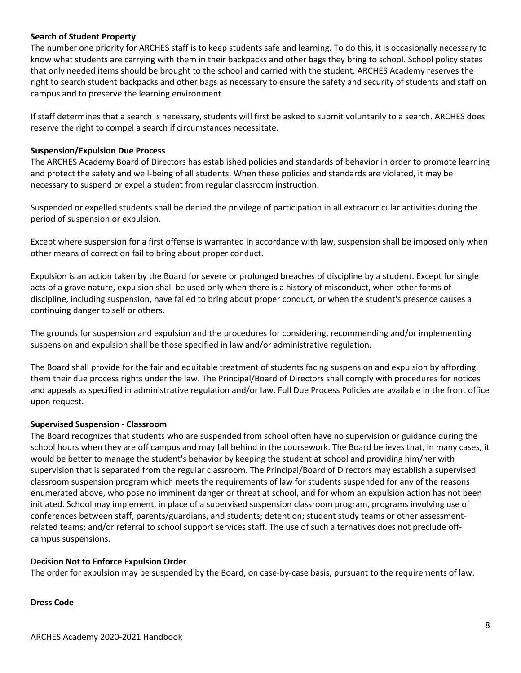#### **Search of Student Property**

The number one priority for ARCHES staff is to keep students safe and learning. To do this, it is occasionally necessary to know what students are carrying with them in their backpacks and other bags they bring to school. School policy states that only needed items should be brought to the school and carried with the student. ARCHES Academy reserves the right to search student backpacks and other bags as necessary to ensure the safety and security of students and staff on campus and to preserve the learning environment.

If staff determines that a search is necessary, students will first be asked to submit voluntarily to a search. ARCHES does reserve the right to compel a search if circumstances necessitate.

#### **Suspension/Expulsion Due Process**

The ARCHES Academy Board of Directors has established policies and standards of behavior in order to promote learning and protect the safety and well-being of all students. When these policies and standards are violated, it may be necessary to suspend or expel a student from regular classroom instruction.

Suspended or expelled students shall be denied the privilege of participation in all extracurricular activities during the period of suspension or expulsion.

Except where suspension for a first offense is warranted in accordance with law, suspension shall be imposed only when other means of correction fail to bring about proper conduct.

Expulsion is an action taken by the Board for severe or prolonged breaches of discipline by a student. Except for single acts of a grave nature, expulsion shall be used only when there is a history of misconduct, when other forms of discipline, including suspension, have failed to bring about proper conduct, or when the student's presence causes a continuing danger to self or others.

The grounds for suspension and expulsion and the procedures for considering, recommending and/or implementing suspension and expulsion shall be those specified in law and/or administrative regulation.

The Board shall provide for the fair and equitable treatment of students facing suspension and expulsion by affording them their due process rights under the law. The Principal/Board of Directors shall comply with procedures for notices and appeals as specified in administrative regulation and/or law. Full Due Process Policies are available in the front office upon request.

#### **Supervised Suspension - Classroom**

The Board recognizes that students who are suspended from school often have no supervision or guidance during the school hours when they are off campus and may fall behind in the coursework. The Board believes that, in many cases, it would be better to manage the student's behavior by keeping the student at school and providing him/her with supervision that is separated from the regular classroom. The Principal/Board of Directors may establish a supervised classroom suspension program which meets the requirements of law for students suspended for any of the reasons enumerated above, who pose no imminent danger or threat at school, and for whom an expulsion action has not been initiated. School may implement, in place of a supervised suspension classroom program, programs involving use of conferences between staff, parents/guardians, and students; detention; student study teams or other assessmentrelated teams; and/or referral to school support services staff. The use of such alternatives does not preclude offcampus suspensions.

#### **Decision Not to Enforce Expulsion Order**

The order for expulsion may be suspended by the Board, on case-by-case basis, pursuant to the requirements of law.

#### **Dress Code**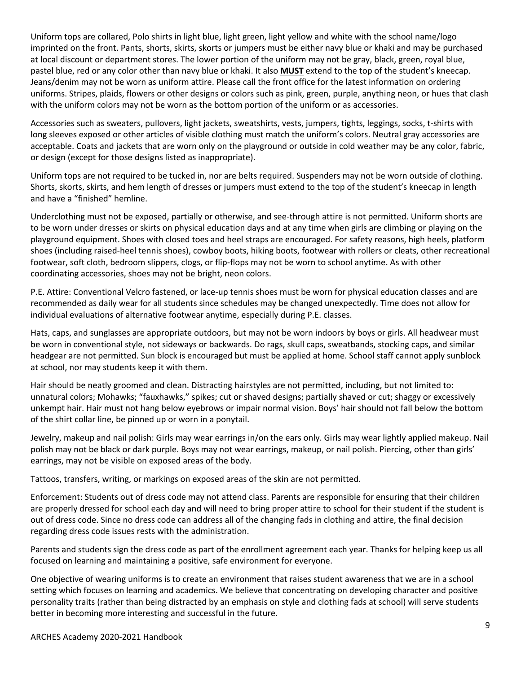Uniform tops are collared, Polo shirts in light blue, light green, light yellow and white with the school name/logo imprinted on the front. Pants, shorts, skirts, skorts or jumpers must be either navy blue or khaki and may be purchased at local discount or department stores. The lower portion of the uniform may not be gray, black, green, royal blue, pastel blue, red or any color other than navy blue or khaki. It also **MUST** extend to the top of the student's kneecap. Jeans/denim may not be worn as uniform attire. Please call the front office for the latest information on ordering uniforms. Stripes, plaids, flowers or other designs or colors such as pink, green, purple, anything neon, or hues that clash with the uniform colors may not be worn as the bottom portion of the uniform or as accessories.

Accessories such as sweaters, pullovers, light jackets, sweatshirts, vests, jumpers, tights, leggings, socks, t-shirts with long sleeves exposed or other articles of visible clothing must match the uniform's colors. Neutral gray accessories are acceptable. Coats and jackets that are worn only on the playground or outside in cold weather may be any color, fabric, or design (except for those designs listed as inappropriate).

Uniform tops are not required to be tucked in, nor are belts required. Suspenders may not be worn outside of clothing. Shorts, skorts, skirts, and hem length of dresses or jumpers must extend to the top of the student's kneecap in length and have a "finished" hemline.

Underclothing must not be exposed, partially or otherwise, and see-through attire is not permitted. Uniform shorts are to be worn under dresses or skirts on physical education days and at any time when girls are climbing or playing on the playground equipment. Shoes with closed toes and heel straps are encouraged. For safety reasons, high heels, platform shoes (including raised-heel tennis shoes), cowboy boots, hiking boots, footwear with rollers or cleats, other recreational footwear, soft cloth, bedroom slippers, clogs, or flip-flops may not be worn to school anytime. As with other coordinating accessories, shoes may not be bright, neon colors.

P.E. Attire: Conventional Velcro fastened, or lace-up tennis shoes must be worn for physical education classes and are recommended as daily wear for all students since schedules may be changed unexpectedly. Time does not allow for individual evaluations of alternative footwear anytime, especially during P.E. classes.

Hats, caps, and sunglasses are appropriate outdoors, but may not be worn indoors by boys or girls. All headwear must be worn in conventional style, not sideways or backwards. Do rags, skull caps, sweatbands, stocking caps, and similar headgear are not permitted. Sun block is encouraged but must be applied at home. School staff cannot apply sunblock at school, nor may students keep it with them.

Hair should be neatly groomed and clean. Distracting hairstyles are not permitted, including, but not limited to: unnatural colors; Mohawks; "fauxhawks," spikes; cut or shaved designs; partially shaved or cut; shaggy or excessively unkempt hair. Hair must not hang below eyebrows or impair normal vision. Boys' hair should not fall below the bottom of the shirt collar line, be pinned up or worn in a ponytail.

Jewelry, makeup and nail polish: Girls may wear earrings in/on the ears only. Girls may wear lightly applied makeup. Nail polish may not be black or dark purple. Boys may not wear earrings, makeup, or nail polish. Piercing, other than girls' earrings, may not be visible on exposed areas of the body.

Tattoos, transfers, writing, or markings on exposed areas of the skin are not permitted.

Enforcement: Students out of dress code may not attend class. Parents are responsible for ensuring that their children are properly dressed for school each day and will need to bring proper attire to school for their student if the student is out of dress code. Since no dress code can address all of the changing fads in clothing and attire, the final decision regarding dress code issues rests with the administration.

Parents and students sign the dress code as part of the enrollment agreement each year. Thanks for helping keep us all focused on learning and maintaining a positive, safe environment for everyone.

One objective of wearing uniforms is to create an environment that raises student awareness that we are in a school setting which focuses on learning and academics. We believe that concentrating on developing character and positive personality traits (rather than being distracted by an emphasis on style and clothing fads at school) will serve students better in becoming more interesting and successful in the future.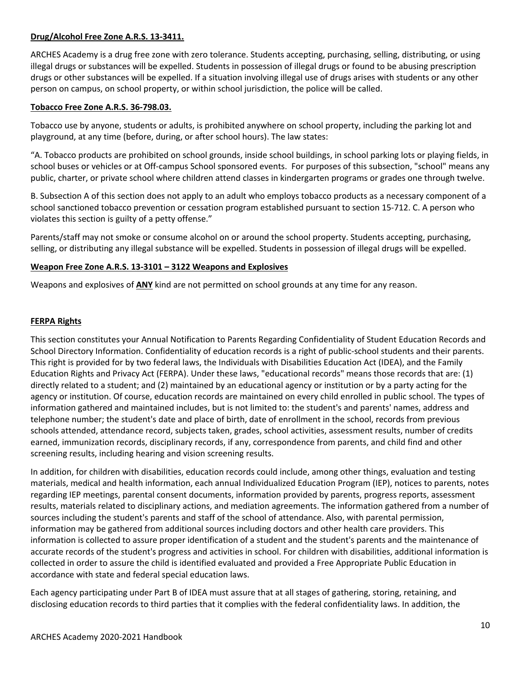#### **Drug/Alcohol Free Zone A.R.S. 13-3411.**

ARCHES Academy is a drug free zone with zero tolerance. Students accepting, purchasing, selling, distributing, or using illegal drugs or substances will be expelled. Students in possession of illegal drugs or found to be abusing prescription drugs or other substances will be expelled. If a situation involving illegal use of drugs arises with students or any other person on campus, on school property, or within school jurisdiction, the police will be called.

#### **Tobacco Free Zone A.R.S. 36-798.03.**

Tobacco use by anyone, students or adults, is prohibited anywhere on school property, including the parking lot and playground, at any time (before, during, or after school hours). The law states:

"A. Tobacco products are prohibited on school grounds, inside school buildings, in school parking lots or playing fields, in school buses or vehicles or at Off-campus School sponsored events. For purposes of this subsection, "school" means any public, charter, or private school where children attend classes in kindergarten programs or grades one through twelve.

B. Subsection A of this section does not apply to an adult who employs tobacco products as a necessary component of a school sanctioned tobacco prevention or cessation program established pursuant to section 15-712. C. A person who violates this section is guilty of a petty offense."

Parents/staff may not smoke or consume alcohol on or around the school property. Students accepting, purchasing, selling, or distributing any illegal substance will be expelled. Students in possession of illegal drugs will be expelled.

#### **Weapon Free Zone A.R.S. 13-3101 – 3122 Weapons and Explosives**

Weapons and explosives of **ANY** kind are not permitted on school grounds at any time for any reason.

#### **FERPA Rights**

This section constitutes your Annual Notification to Parents Regarding Confidentiality of Student Education Records and School Directory Information. Confidentiality of education records is a right of public-school students and their parents. This right is provided for by two federal laws, the Individuals with Disabilities Education Act (IDEA), and the Family Education Rights and Privacy Act (FERPA). Under these laws, "educational records" means those records that are: (1) directly related to a student; and (2) maintained by an educational agency or institution or by a party acting for the agency or institution. Of course, education records are maintained on every child enrolled in public school. The types of information gathered and maintained includes, but is not limited to: the student's and parents' names, address and telephone number; the student's date and place of birth, date of enrollment in the school, records from previous schools attended, attendance record, subjects taken, grades, school activities, assessment results, number of credits earned, immunization records, disciplinary records, if any, correspondence from parents, and child find and other screening results, including hearing and vision screening results.

In addition, for children with disabilities, education records could include, among other things, evaluation and testing materials, medical and health information, each annual Individualized Education Program (IEP), notices to parents, notes regarding IEP meetings, parental consent documents, information provided by parents, progress reports, assessment results, materials related to disciplinary actions, and mediation agreements. The information gathered from a number of sources including the student's parents and staff of the school of attendance. Also, with parental permission, information may be gathered from additional sources including doctors and other health care providers. This information is collected to assure proper identification of a student and the student's parents and the maintenance of accurate records of the student's progress and activities in school. For children with disabilities, additional information is collected in order to assure the child is identified evaluated and provided a Free Appropriate Public Education in accordance with state and federal special education laws.

Each agency participating under Part B of IDEA must assure that at all stages of gathering, storing, retaining, and disclosing education records to third parties that it complies with the federal confidentiality laws. In addition, the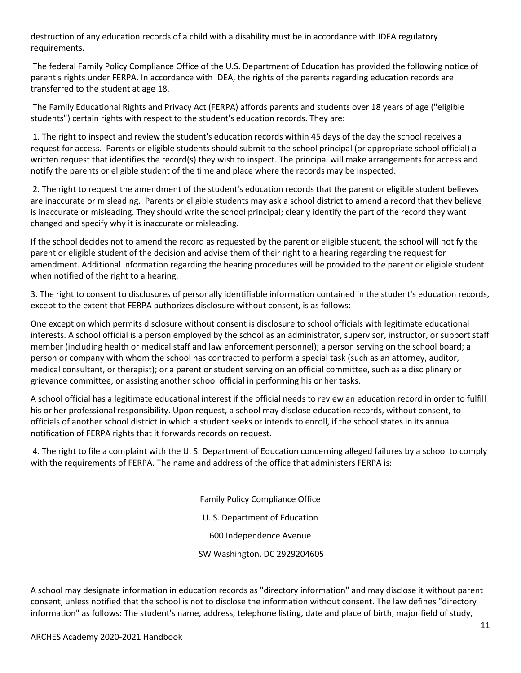destruction of any education records of a child with a disability must be in accordance with IDEA regulatory requirements.

The federal Family Policy Compliance Office of the U.S. Department of Education has provided the following notice of parent's rights under FERPA. In accordance with IDEA, the rights of the parents regarding education records are transferred to the student at age 18.

The Family Educational Rights and Privacy Act (FERPA) affords parents and students over 18 years of age ("eligible students") certain rights with respect to the student's education records. They are:

1. The right to inspect and review the student's education records within 45 days of the day the school receives a request for access. Parents or eligible students should submit to the school principal (or appropriate school official) a written request that identifies the record(s) they wish to inspect. The principal will make arrangements for access and notify the parents or eligible student of the time and place where the records may be inspected.

2. The right to request the amendment of the student's education records that the parent or eligible student believes are inaccurate or misleading. Parents or eligible students may ask a school district to amend a record that they believe is inaccurate or misleading. They should write the school principal; clearly identify the part of the record they want changed and specify why it is inaccurate or misleading.

If the school decides not to amend the record as requested by the parent or eligible student, the school will notify the parent or eligible student of the decision and advise them of their right to a hearing regarding the request for amendment. Additional information regarding the hearing procedures will be provided to the parent or eligible student when notified of the right to a hearing.

3. The right to consent to disclosures of personally identifiable information contained in the student's education records, except to the extent that FERPA authorizes disclosure without consent, is as follows:

One exception which permits disclosure without consent is disclosure to school officials with legitimate educational interests. A school official is a person employed by the school as an administrator, supervisor, instructor, or support staff member (including health or medical staff and law enforcement personnel); a person serving on the school board; a person or company with whom the school has contracted to perform a special task (such as an attorney, auditor, medical consultant, or therapist); or a parent or student serving on an official committee, such as a disciplinary or grievance committee, or assisting another school official in performing his or her tasks.

A school official has a legitimate educational interest if the official needs to review an education record in order to fulfill his or her professional responsibility. Upon request, a school may disclose education records, without consent, to officials of another school district in which a student seeks or intends to enroll, if the school states in its annual notification of FERPA rights that it forwards records on request.

4. The right to file a complaint with the U. S. Department of Education concerning alleged failures by a school to comply with the requirements of FERPA. The name and address of the office that administers FERPA is:

> Family Policy Compliance Office U. S. Department of Education 600 Independence Avenue SW Washington, DC 2929204605

A school may designate information in education records as "directory information" and may disclose it without parent consent, unless notified that the school is not to disclose the information without consent. The law defines "directory information" as follows: The student's name, address, telephone listing, date and place of birth, major field of study,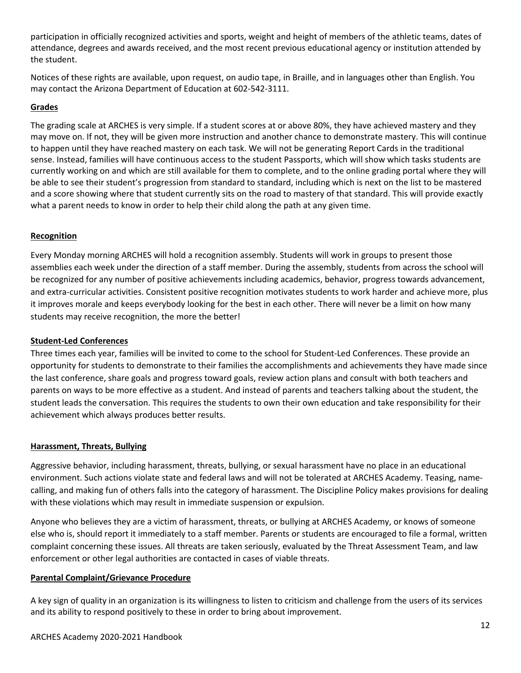participation in officially recognized activities and sports, weight and height of members of the athletic teams, dates of attendance, degrees and awards received, and the most recent previous educational agency or institution attended by the student.

Notices of these rights are available, upon request, on audio tape, in Braille, and in languages other than English. You may contact the Arizona Department of Education at 602-542-3111.

#### **Grades**

The grading scale at ARCHES is very simple. If a student scores at or above 80%, they have achieved mastery and they may move on. If not, they will be given more instruction and another chance to demonstrate mastery. This will continue to happen until they have reached mastery on each task. We will not be generating Report Cards in the traditional sense. Instead, families will have continuous access to the student Passports, which will show which tasks students are currently working on and which are still available for them to complete, and to the online grading portal where they will be able to see their student's progression from standard to standard, including which is next on the list to be mastered and a score showing where that student currently sits on the road to mastery of that standard. This will provide exactly what a parent needs to know in order to help their child along the path at any given time.

#### **Recognition**

Every Monday morning ARCHES will hold a recognition assembly. Students will work in groups to present those assemblies each week under the direction of a staff member. During the assembly, students from across the school will be recognized for any number of positive achievements including academics, behavior, progress towards advancement, and extra-curricular activities. Consistent positive recognition motivates students to work harder and achieve more, plus it improves morale and keeps everybody looking for the best in each other. There will never be a limit on how many students may receive recognition, the more the better!

#### **Student-Led Conferences**

Three times each year, families will be invited to come to the school for Student-Led Conferences. These provide an opportunity for students to demonstrate to their families the accomplishments and achievements they have made since the last conference, share goals and progress toward goals, review action plans and consult with both teachers and parents on ways to be more effective as a student. And instead of parents and teachers talking about the student, the student leads the conversation. This requires the students to own their own education and take responsibility for their achievement which always produces better results.

#### **Harassment, Threats, Bullying**

Aggressive behavior, including harassment, threats, bullying, or sexual harassment have no place in an educational environment. Such actions violate state and federal laws and will not be tolerated at ARCHES Academy. Teasing, namecalling, and making fun of others falls into the category of harassment. The Discipline Policy makes provisions for dealing with these violations which may result in immediate suspension or expulsion.

Anyone who believes they are a victim of harassment, threats, or bullying at ARCHES Academy, or knows of someone else who is, should report it immediately to a staff member. Parents or students are encouraged to file a formal, written complaint concerning these issues. All threats are taken seriously, evaluated by the Threat Assessment Team, and law enforcement or other legal authorities are contacted in cases of viable threats.

#### **Parental Complaint/Grievance Procedure**

A key sign of quality in an organization is its willingness to listen to criticism and challenge from the users of its services and its ability to respond positively to these in order to bring about improvement.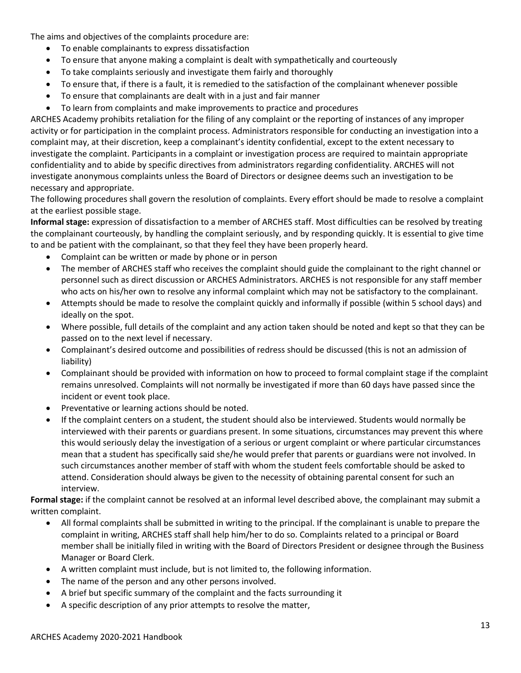The aims and objectives of the complaints procedure are:

- To enable complainants to express dissatisfaction
- To ensure that anyone making a complaint is dealt with sympathetically and courteously
- To take complaints seriously and investigate them fairly and thoroughly
- To ensure that, if there is a fault, it is remedied to the satisfaction of the complainant whenever possible
- To ensure that complainants are dealt with in a just and fair manner
- To learn from complaints and make improvements to practice and procedures

ARCHES Academy prohibits retaliation for the filing of any complaint or the reporting of instances of any improper activity or for participation in the complaint process. Administrators responsible for conducting an investigation into a complaint may, at their discretion, keep a complainant's identity confidential, except to the extent necessary to investigate the complaint. Participants in a complaint or investigation process are required to maintain appropriate confidentiality and to abide by specific directives from administrators regarding confidentiality. ARCHES will not investigate anonymous complaints unless the Board of Directors or designee deems such an investigation to be necessary and appropriate.

The following procedures shall govern the resolution of complaints. Every effort should be made to resolve a complaint at the earliest possible stage.

**Informal stage:** expression of dissatisfaction to a member of ARCHES staff. Most difficulties can be resolved by treating the complainant courteously, by handling the complaint seriously, and by responding quickly. It is essential to give time to and be patient with the complainant, so that they feel they have been properly heard.

- Complaint can be written or made by phone or in person
- The member of ARCHES staff who receives the complaint should guide the complainant to the right channel or personnel such as direct discussion or ARCHES Administrators. ARCHES is not responsible for any staff member who acts on his/her own to resolve any informal complaint which may not be satisfactory to the complainant.
- Attempts should be made to resolve the complaint quickly and informally if possible (within 5 school days) and ideally on the spot.
- Where possible, full details of the complaint and any action taken should be noted and kept so that they can be passed on to the next level if necessary.
- Complainant's desired outcome and possibilities of redress should be discussed (this is not an admission of liability)
- Complainant should be provided with information on how to proceed to formal complaint stage if the complaint remains unresolved. Complaints will not normally be investigated if more than 60 days have passed since the incident or event took place.
- Preventative or learning actions should be noted.
- If the complaint centers on a student, the student should also be interviewed. Students would normally be interviewed with their parents or guardians present. In some situations, circumstances may prevent this where this would seriously delay the investigation of a serious or urgent complaint or where particular circumstances mean that a student has specifically said she/he would prefer that parents or guardians were not involved. In such circumstances another member of staff with whom the student feels comfortable should be asked to attend. Consideration should always be given to the necessity of obtaining parental consent for such an interview.

**Formal stage:** if the complaint cannot be resolved at an informal level described above, the complainant may submit a written complaint.

- All formal complaints shall be submitted in writing to the principal. If the complainant is unable to prepare the complaint in writing, ARCHES staff shall help him/her to do so. Complaints related to a principal or Board member shall be initially filed in writing with the Board of Directors President or designee through the Business Manager or Board Clerk.
- A written complaint must include, but is not limited to, the following information.
- The name of the person and any other persons involved.
- A brief but specific summary of the complaint and the facts surrounding it
- A specific description of any prior attempts to resolve the matter,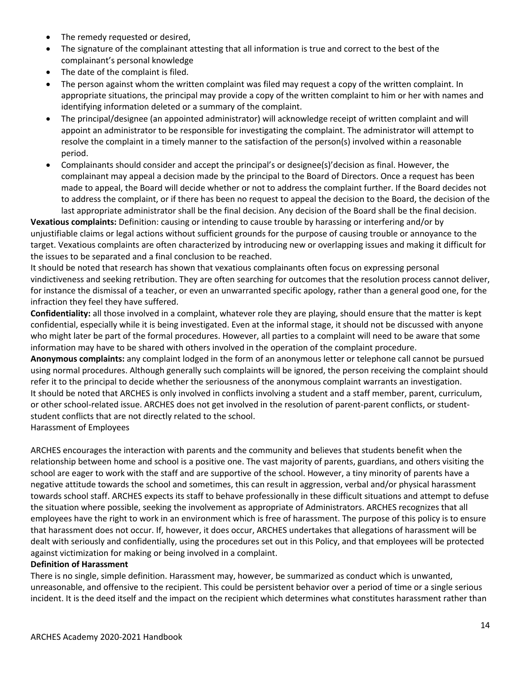- The remedy requested or desired,
- The signature of the complainant attesting that all information is true and correct to the best of the complainant's personal knowledge
- The date of the complaint is filed.
- The person against whom the written complaint was filed may request a copy of the written complaint. In appropriate situations, the principal may provide a copy of the written complaint to him or her with names and identifying information deleted or a summary of the complaint.
- The principal/designee (an appointed administrator) will acknowledge receipt of written complaint and will appoint an administrator to be responsible for investigating the complaint. The administrator will attempt to resolve the complaint in a timely manner to the satisfaction of the person(s) involved within a reasonable period.
- Complainants should consider and accept the principal's or designee(s)'decision as final. However, the complainant may appeal a decision made by the principal to the Board of Directors. Once a request has been made to appeal, the Board will decide whether or not to address the complaint further. If the Board decides not to address the complaint, or if there has been no request to appeal the decision to the Board, the decision of the last appropriate administrator shall be the final decision. Any decision of the Board shall be the final decision.

**Vexatious complaints:** Definition: causing or intending to cause trouble by harassing or interfering and/or by unjustifiable claims or legal actions without sufficient grounds for the purpose of causing trouble or annoyance to the target. Vexatious complaints are often characterized by introducing new or overlapping issues and making it difficult for the issues to be separated and a final conclusion to be reached.

It should be noted that research has shown that vexatious complainants often focus on expressing personal vindictiveness and seeking retribution. They are often searching for outcomes that the resolution process cannot deliver, for instance the dismissal of a teacher, or even an unwarranted specific apology, rather than a general good one, for the infraction they feel they have suffered.

**Confidentiality:** all those involved in a complaint, whatever role they are playing, should ensure that the matter is kept confidential, especially while it is being investigated. Even at the informal stage, it should not be discussed with anyone who might later be part of the formal procedures. However, all parties to a complaint will need to be aware that some information may have to be shared with others involved in the operation of the complaint procedure.

**Anonymous complaints:** any complaint lodged in the form of an anonymous letter or telephone call cannot be pursued using normal procedures. Although generally such complaints will be ignored, the person receiving the complaint should refer it to the principal to decide whether the seriousness of the anonymous complaint warrants an investigation. It should be noted that ARCHES is only involved in conflicts involving a student and a staff member, parent, curriculum, or other school-related issue. ARCHES does not get involved in the resolution of parent-parent conflicts, or studentstudent conflicts that are not directly related to the school. Harassment of Employees

ARCHES encourages the interaction with parents and the community and believes that students benefit when the relationship between home and school is a positive one. The vast majority of parents, guardians, and others visiting the school are eager to work with the staff and are supportive of the school. However, a tiny minority of parents have a negative attitude towards the school and sometimes, this can result in aggression, verbal and/or physical harassment towards school staff. ARCHES expects its staff to behave professionally in these difficult situations and attempt to defuse the situation where possible, seeking the involvement as appropriate of Administrators. ARCHES recognizes that all employees have the right to work in an environment which is free of harassment. The purpose of this policy is to ensure that harassment does not occur. If, however, it does occur, ARCHES undertakes that allegations of harassment will be dealt with seriously and confidentially, using the procedures set out in this Policy, and that employees will be protected against victimization for making or being involved in a complaint.

#### **Definition of Harassment**

There is no single, simple definition. Harassment may, however, be summarized as conduct which is unwanted, unreasonable, and offensive to the recipient. This could be persistent behavior over a period of time or a single serious incident. It is the deed itself and the impact on the recipient which determines what constitutes harassment rather than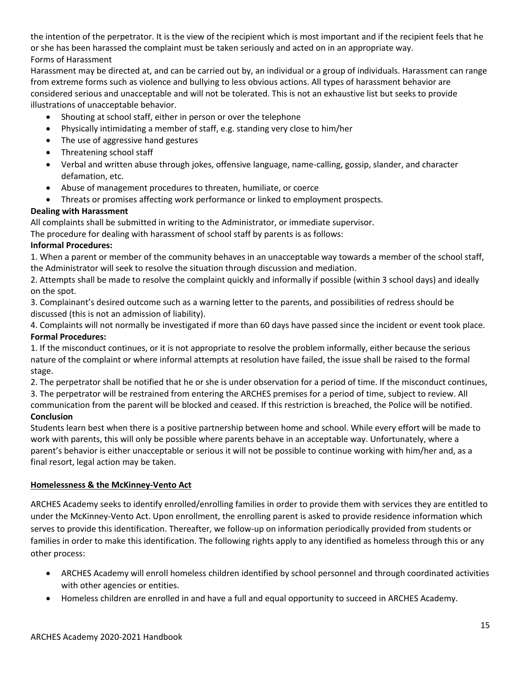the intention of the perpetrator. It is the view of the recipient which is most important and if the recipient feels that he or she has been harassed the complaint must be taken seriously and acted on in an appropriate way. Forms of Harassment

Harassment may be directed at, and can be carried out by, an individual or a group of individuals. Harassment can range from extreme forms such as violence and bullying to less obvious actions. All types of harassment behavior are considered serious and unacceptable and will not be tolerated. This is not an exhaustive list but seeks to provide illustrations of unacceptable behavior.

- Shouting at school staff, either in person or over the telephone
- Physically intimidating a member of staff, e.g. standing very close to him/her
- The use of aggressive hand gestures
- Threatening school staff
- Verbal and written abuse through jokes, offensive language, name-calling, gossip, slander, and character defamation, etc.
- Abuse of management procedures to threaten, humiliate, or coerce
- Threats or promises affecting work performance or linked to employment prospects.

#### **Dealing with Harassment**

All complaints shall be submitted in writing to the Administrator, or immediate supervisor.

The procedure for dealing with harassment of school staff by parents is as follows:

#### **Informal Procedures:**

1. When a parent or member of the community behaves in an unacceptable way towards a member of the school staff, the Administrator will seek to resolve the situation through discussion and mediation.

2. Attempts shall be made to resolve the complaint quickly and informally if possible (within 3 school days) and ideally on the spot.

3. Complainant's desired outcome such as a warning letter to the parents, and possibilities of redress should be discussed (this is not an admission of liability).

4. Complaints will not normally be investigated if more than 60 days have passed since the incident or event took place. **Formal Procedures:** 

1. If the misconduct continues, or it is not appropriate to resolve the problem informally, either because the serious nature of the complaint or where informal attempts at resolution have failed, the issue shall be raised to the formal stage.

2. The perpetrator shall be notified that he or she is under observation for a period of time. If the misconduct continues, 3. The perpetrator will be restrained from entering the ARCHES premises for a period of time, subject to review. All

communication from the parent will be blocked and ceased. If this restriction is breached, the Police will be notified. **Conclusion** 

Students learn best when there is a positive partnership between home and school. While every effort will be made to work with parents, this will only be possible where parents behave in an acceptable way. Unfortunately, where a parent's behavior is either unacceptable or serious it will not be possible to continue working with him/her and, as a final resort, legal action may be taken.

#### **Homelessness & the McKinney-Vento Act**

ARCHES Academy seeks to identify enrolled/enrolling families in order to provide them with services they are entitled to under the McKinney-Vento Act. Upon enrollment, the enrolling parent is asked to provide residence information which serves to provide this identification. Thereafter, we follow-up on information periodically provided from students or families in order to make this identification. The following rights apply to any identified as homeless through this or any other process:

- ARCHES Academy will enroll homeless children identified by school personnel and through coordinated activities with other agencies or entities.
- Homeless children are enrolled in and have a full and equal opportunity to succeed in ARCHES Academy.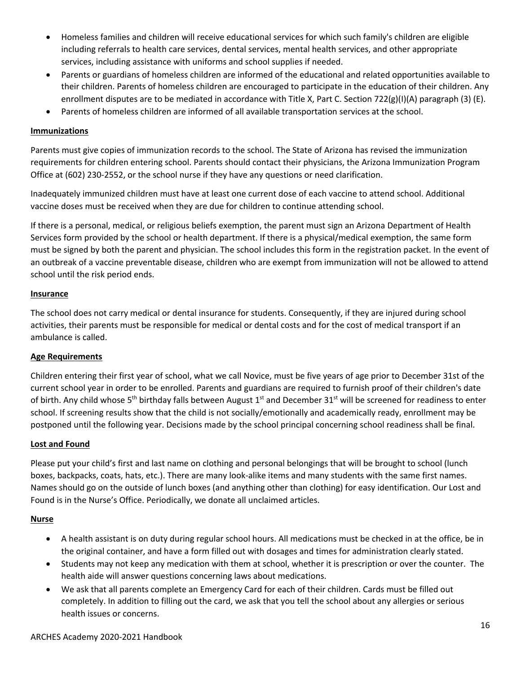- Homeless families and children will receive educational services for which such family's children are eligible including referrals to health care services, dental services, mental health services, and other appropriate services, including assistance with uniforms and school supplies if needed.
- Parents or guardians of homeless children are informed of the educational and related opportunities available to their children. Parents of homeless children are encouraged to participate in the education of their children. Any enrollment disputes are to be mediated in accordance with Title X, Part C. Section 722(g)(I)(A) paragraph (3) (E).
- Parents of homeless children are informed of all available transportation services at the school.

#### **Immunizations**

Parents must give copies of immunization records to the school. The State of Arizona has revised the immunization requirements for children entering school. Parents should contact their physicians, the Arizona Immunization Program Office at (602) 230-2552, or the school nurse if they have any questions or need clarification.

Inadequately immunized children must have at least one current dose of each vaccine to attend school. Additional vaccine doses must be received when they are due for children to continue attending school.

If there is a personal, medical, or religious beliefs exemption, the parent must sign an Arizona Department of Health Services form provided by the school or health department. If there is a physical/medical exemption, the same form must be signed by both the parent and physician. The school includes this form in the registration packet. In the event of an outbreak of a vaccine preventable disease, children who are exempt from immunization will not be allowed to attend school until the risk period ends.

#### **Insurance**

The school does not carry medical or dental insurance for students. Consequently, if they are injured during school activities, their parents must be responsible for medical or dental costs and for the cost of medical transport if an ambulance is called.

#### **Age Requirements**

Children entering their first year of school, what we call Novice, must be five years of age prior to December 31st of the current school year in order to be enrolled. Parents and guardians are required to furnish proof of their children's date of birth. Any child whose 5<sup>th</sup> birthday falls between August 1<sup>st</sup> and December 31<sup>st</sup> will be screened for readiness to enter school. If screening results show that the child is not socially/emotionally and academically ready, enrollment may be postponed until the following year. Decisions made by the school principal concerning school readiness shall be final.

#### **Lost and Found**

Please put your child's first and last name on clothing and personal belongings that will be brought to school (lunch boxes, backpacks, coats, hats, etc.). There are many look-alike items and many students with the same first names. Names should go on the outside of lunch boxes (and anything other than clothing) for easy identification. Our Lost and Found is in the Nurse's Office. Periodically, we donate all unclaimed articles.

#### **Nurse**

- A health assistant is on duty during regular school hours. All medications must be checked in at the office, be in the original container, and have a form filled out with dosages and times for administration clearly stated.
- Students may not keep any medication with them at school, whether it is prescription or over the counter. The health aide will answer questions concerning laws about medications.
- We ask that all parents complete an Emergency Card for each of their children. Cards must be filled out completely. In addition to filling out the card, we ask that you tell the school about any allergies or serious health issues or concerns.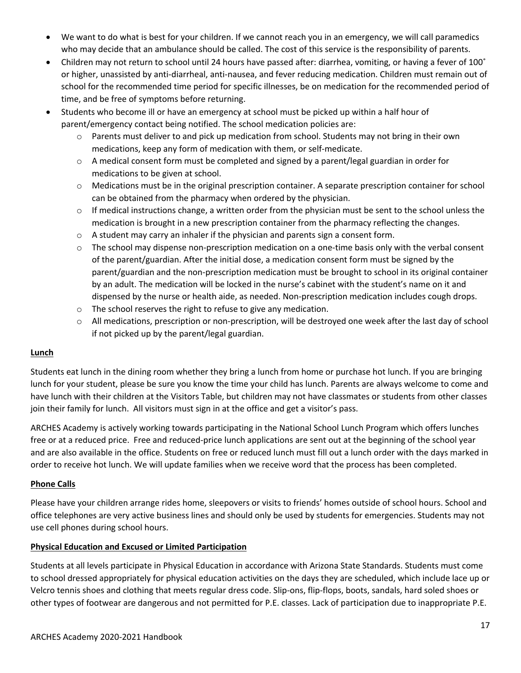- We want to do what is best for your children. If we cannot reach you in an emergency, we will call paramedics who may decide that an ambulance should be called. The cost of this service is the responsibility of parents.
- Children may not return to school until 24 hours have passed after: diarrhea, vomiting, or having a fever of 100° or higher, unassisted by anti-diarrheal, anti-nausea, and fever reducing medication. Children must remain out of school for the recommended time period for specific illnesses, be on medication for the recommended period of time, and be free of symptoms before returning.
- Students who become ill or have an emergency at school must be picked up within a half hour of parent/emergency contact being notified. The school medication policies are:
	- $\circ$  Parents must deliver to and pick up medication from school. Students may not bring in their own medications, keep any form of medication with them, or self-medicate.
	- $\circ$  A medical consent form must be completed and signed by a parent/legal guardian in order for medications to be given at school.
	- $\circ$  Medications must be in the original prescription container. A separate prescription container for school can be obtained from the pharmacy when ordered by the physician.
	- $\circ$  If medical instructions change, a written order from the physician must be sent to the school unless the medication is brought in a new prescription container from the pharmacy reflecting the changes.
	- $\circ$  A student may carry an inhaler if the physician and parents sign a consent form.
	- o The school may dispense non-prescription medication on a one-time basis only with the verbal consent of the parent/guardian. After the initial dose, a medication consent form must be signed by the parent/guardian and the non-prescription medication must be brought to school in its original container by an adult. The medication will be locked in the nurse's cabinet with the student's name on it and dispensed by the nurse or health aide, as needed. Non-prescription medication includes cough drops.
	- o The school reserves the right to refuse to give any medication.
	- o All medications, prescription or non-prescription, will be destroyed one week after the last day of school if not picked up by the parent/legal guardian.

#### **Lunch**

Students eat lunch in the dining room whether they bring a lunch from home or purchase hot lunch. If you are bringing lunch for your student, please be sure you know the time your child has lunch. Parents are always welcome to come and have lunch with their children at the Visitors Table, but children may not have classmates or students from other classes join their family for lunch. All visitors must sign in at the office and get a visitor's pass.

ARCHES Academy is actively working towards participating in the National School Lunch Program which offers lunches free or at a reduced price. Free and reduced-price lunch applications are sent out at the beginning of the school year and are also available in the office. Students on free or reduced lunch must fill out a lunch order with the days marked in order to receive hot lunch. We will update families when we receive word that the process has been completed.

#### **Phone Calls**

Please have your children arrange rides home, sleepovers or visits to friends' homes outside of school hours. School and office telephones are very active business lines and should only be used by students for emergencies. Students may not use cell phones during school hours.

#### **Physical Education and Excused or Limited Participation**

Students at all levels participate in Physical Education in accordance with Arizona State Standards. Students must come to school dressed appropriately for physical education activities on the days they are scheduled, which include lace up or Velcro tennis shoes and clothing that meets regular dress code. Slip-ons, flip-flops, boots, sandals, hard soled shoes or other types of footwear are dangerous and not permitted for P.E. classes. Lack of participation due to inappropriate P.E.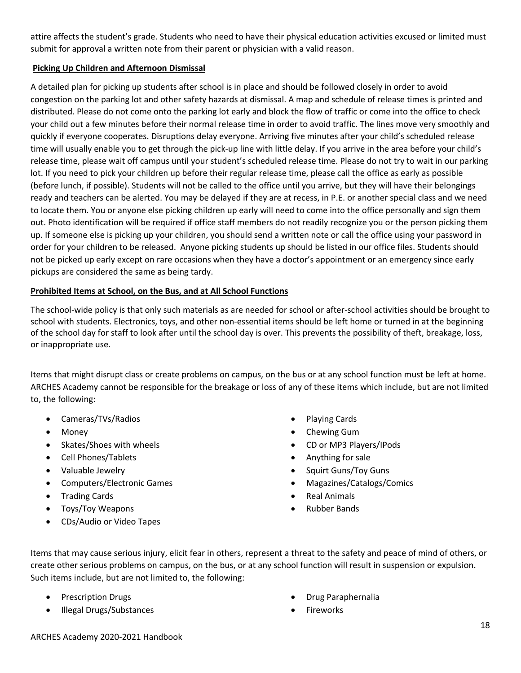attire affects the student's grade. Students who need to have their physical education activities excused or limited must submit for approval a written note from their parent or physician with a valid reason.

#### **Picking Up Children and Afternoon Dismissal**

A detailed plan for picking up students after school is in place and should be followed closely in order to avoid congestion on the parking lot and other safety hazards at dismissal. A map and schedule of release times is printed and distributed. Please do not come onto the parking lot early and block the flow of traffic or come into the office to check your child out a few minutes before their normal release time in order to avoid traffic. The lines move very smoothly and quickly if everyone cooperates. Disruptions delay everyone. Arriving five minutes after your child's scheduled release time will usually enable you to get through the pick-up line with little delay. If you arrive in the area before your child's release time, please wait off campus until your student's scheduled release time. Please do not try to wait in our parking lot. If you need to pick your children up before their regular release time, please call the office as early as possible (before lunch, if possible). Students will not be called to the office until you arrive, but they will have their belongings ready and teachers can be alerted. You may be delayed if they are at recess, in P.E. or another special class and we need to locate them. You or anyone else picking children up early will need to come into the office personally and sign them out. Photo identification will be required if office staff members do not readily recognize you or the person picking them up. If someone else is picking up your children, you should send a written note or call the office using your password in order for your children to be released. Anyone picking students up should be listed in our office files. Students should not be picked up early except on rare occasions when they have a doctor's appointment or an emergency since early pickups are considered the same as being tardy.

### **Prohibited Items at School, on the Bus, and at All School Functions**

The school-wide policy is that only such materials as are needed for school or after-school activities should be brought to school with students. Electronics, toys, and other non-essential items should be left home or turned in at the beginning of the school day for staff to look after until the school day is over. This prevents the possibility of theft, breakage, loss, or inappropriate use.

Items that might disrupt class or create problems on campus, on the bus or at any school function must be left at home. ARCHES Academy cannot be responsible for the breakage or loss of any of these items which include, but are not limited to, the following:

- Cameras/TVs/Radios
- Money
- Skates/Shoes with wheels
- Cell Phones/Tablets
- Valuable Jewelry
- Computers/Electronic Games
- Trading Cards
- Toys/Toy Weapons
- CDs/Audio or Video Tapes
- Playing Cards
- Chewing Gum
- CD or MP3 Players/IPods
- Anything for sale
- Squirt Guns/Toy Guns
- Magazines/Catalogs/Comics
- Real Animals
- Rubber Bands

Items that may cause serious injury, elicit fear in others, represent a threat to the safety and peace of mind of others, or create other serious problems on campus, on the bus, or at any school function will result in suspension or expulsion. Such items include, but are not limited to, the following:

- Prescription Drugs
- Illegal Drugs/Substances
- Drug Paraphernalia
- Fireworks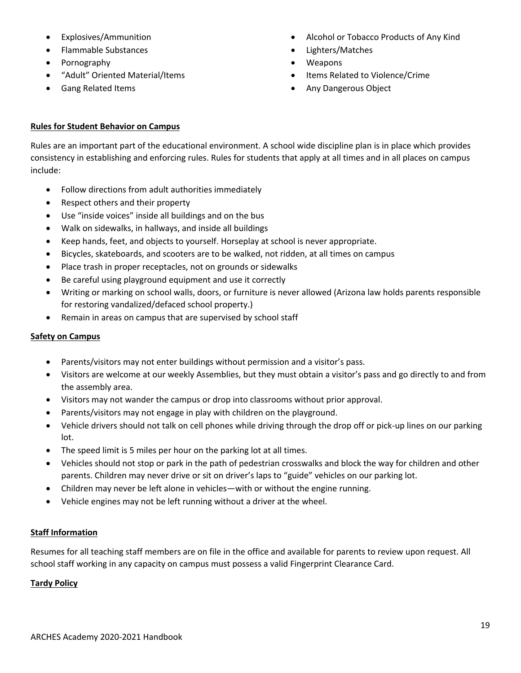- Explosives/Ammunition
- Flammable Substances
- Pornography
- "Adult" Oriented Material/Items
- Gang Related Items
- Alcohol or Tobacco Products of Any Kind
- Lighters/Matches
- Weapons
- Items Related to Violence/Crime
- Any Dangerous Object

### **Rules for Student Behavior on Campus**

Rules are an important part of the educational environment. A school wide discipline plan is in place which provides consistency in establishing and enforcing rules. Rules for students that apply at all times and in all places on campus include:

- Follow directions from adult authorities immediately
- Respect others and their property
- Use "inside voices" inside all buildings and on the bus
- Walk on sidewalks, in hallways, and inside all buildings
- Keep hands, feet, and objects to yourself. Horseplay at school is never appropriate.
- Bicycles, skateboards, and scooters are to be walked, not ridden, at all times on campus
- Place trash in proper receptacles, not on grounds or sidewalks
- Be careful using playground equipment and use it correctly
- Writing or marking on school walls, doors, or furniture is never allowed (Arizona law holds parents responsible for restoring vandalized/defaced school property.)
- Remain in areas on campus that are supervised by school staff

#### **Safety on Campus**

- Parents/visitors may not enter buildings without permission and a visitor's pass.
- Visitors are welcome at our weekly Assemblies, but they must obtain a visitor's pass and go directly to and from the assembly area.
- Visitors may not wander the campus or drop into classrooms without prior approval.
- Parents/visitors may not engage in play with children on the playground.
- Vehicle drivers should not talk on cell phones while driving through the drop off or pick-up lines on our parking lot.
- The speed limit is 5 miles per hour on the parking lot at all times.
- Vehicles should not stop or park in the path of pedestrian crosswalks and block the way for children and other parents. Children may never drive or sit on driver's laps to "guide" vehicles on our parking lot.
- Children may never be left alone in vehicles—with or without the engine running.
- Vehicle engines may not be left running without a driver at the wheel.

#### **Staff Information**

Resumes for all teaching staff members are on file in the office and available for parents to review upon request. All school staff working in any capacity on campus must possess a valid Fingerprint Clearance Card.

#### **Tardy Policy**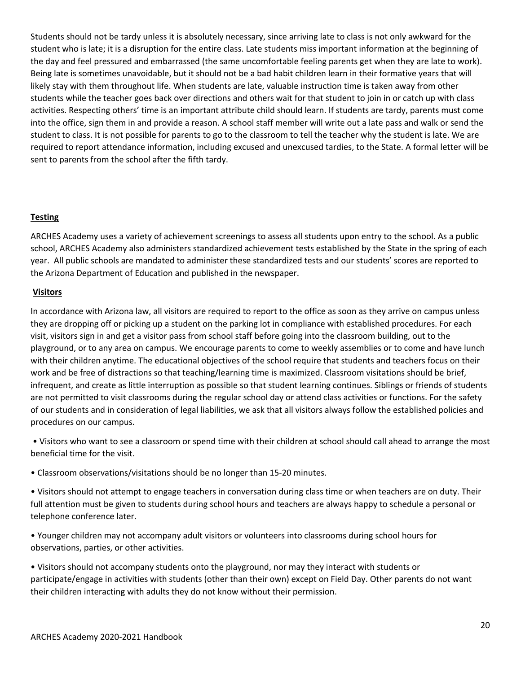Students should not be tardy unless it is absolutely necessary, since arriving late to class is not only awkward for the student who is late; it is a disruption for the entire class. Late students miss important information at the beginning of the day and feel pressured and embarrassed (the same uncomfortable feeling parents get when they are late to work). Being late is sometimes unavoidable, but it should not be a bad habit children learn in their formative years that will likely stay with them throughout life. When students are late, valuable instruction time is taken away from other students while the teacher goes back over directions and others wait for that student to join in or catch up with class activities. Respecting others' time is an important attribute child should learn. If students are tardy, parents must come into the office, sign them in and provide a reason. A school staff member will write out a late pass and walk or send the student to class. It is not possible for parents to go to the classroom to tell the teacher why the student is late. We are required to report attendance information, including excused and unexcused tardies, to the State. A formal letter will be sent to parents from the school after the fifth tardy.

#### **Testing**

ARCHES Academy uses a variety of achievement screenings to assess all students upon entry to the school. As a public school, ARCHES Academy also administers standardized achievement tests established by the State in the spring of each year. All public schools are mandated to administer these standardized tests and our students' scores are reported to the Arizona Department of Education and published in the newspaper.

#### **Visitors**

In accordance with Arizona law, all visitors are required to report to the office as soon as they arrive on campus unless they are dropping off or picking up a student on the parking lot in compliance with established procedures. For each visit, visitors sign in and get a visitor pass from school staff before going into the classroom building, out to the playground, or to any area on campus. We encourage parents to come to weekly assemblies or to come and have lunch with their children anytime. The educational objectives of the school require that students and teachers focus on their work and be free of distractions so that teaching/learning time is maximized. Classroom visitations should be brief, infrequent, and create as little interruption as possible so that student learning continues. Siblings or friends of students are not permitted to visit classrooms during the regular school day or attend class activities or functions. For the safety of our students and in consideration of legal liabilities, we ask that all visitors always follow the established policies and procedures on our campus.

• Visitors who want to see a classroom or spend time with their children at school should call ahead to arrange the most beneficial time for the visit.

• Classroom observations/visitations should be no longer than 15-20 minutes.

• Visitors should not attempt to engage teachers in conversation during class time or when teachers are on duty. Their full attention must be given to students during school hours and teachers are always happy to schedule a personal or telephone conference later.

• Younger children may not accompany adult visitors or volunteers into classrooms during school hours for observations, parties, or other activities.

• Visitors should not accompany students onto the playground, nor may they interact with students or participate/engage in activities with students (other than their own) except on Field Day. Other parents do not want their children interacting with adults they do not know without their permission.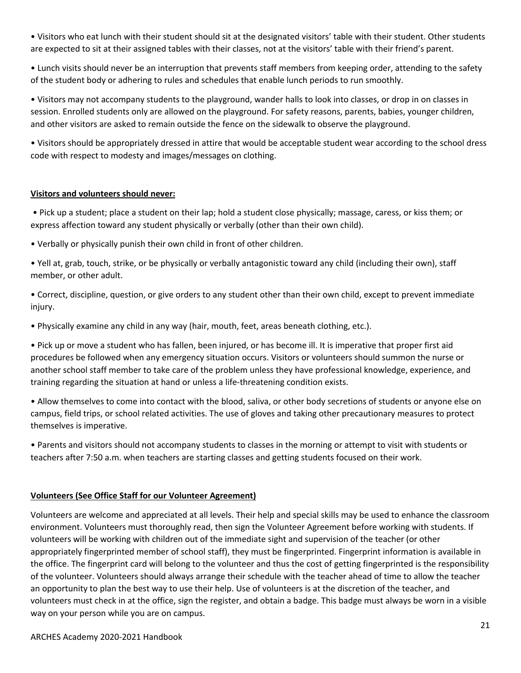• Visitors who eat lunch with their student should sit at the designated visitors' table with their student. Other students are expected to sit at their assigned tables with their classes, not at the visitors' table with their friend's parent.

• Lunch visits should never be an interruption that prevents staff members from keeping order, attending to the safety of the student body or adhering to rules and schedules that enable lunch periods to run smoothly.

• Visitors may not accompany students to the playground, wander halls to look into classes, or drop in on classes in session. Enrolled students only are allowed on the playground. For safety reasons, parents, babies, younger children, and other visitors are asked to remain outside the fence on the sidewalk to observe the playground.

• Visitors should be appropriately dressed in attire that would be acceptable student wear according to the school dress code with respect to modesty and images/messages on clothing.

#### **Visitors and volunteers should never:**

• Pick up a student; place a student on their lap; hold a student close physically; massage, caress, or kiss them; or express affection toward any student physically or verbally (other than their own child).

• Verbally or physically punish their own child in front of other children.

• Yell at, grab, touch, strike, or be physically or verbally antagonistic toward any child (including their own), staff member, or other adult.

• Correct, discipline, question, or give orders to any student other than their own child, except to prevent immediate injury.

• Physically examine any child in any way (hair, mouth, feet, areas beneath clothing, etc.).

• Pick up or move a student who has fallen, been injured, or has become ill. It is imperative that proper first aid procedures be followed when any emergency situation occurs. Visitors or volunteers should summon the nurse or another school staff member to take care of the problem unless they have professional knowledge, experience, and training regarding the situation at hand or unless a life-threatening condition exists.

• Allow themselves to come into contact with the blood, saliva, or other body secretions of students or anyone else on campus, field trips, or school related activities. The use of gloves and taking other precautionary measures to protect themselves is imperative.

• Parents and visitors should not accompany students to classes in the morning or attempt to visit with students or teachers after 7:50 a.m. when teachers are starting classes and getting students focused on their work.

#### **Volunteers (See Office Staff for our Volunteer Agreement)**

Volunteers are welcome and appreciated at all levels. Their help and special skills may be used to enhance the classroom environment. Volunteers must thoroughly read, then sign the Volunteer Agreement before working with students. If volunteers will be working with children out of the immediate sight and supervision of the teacher (or other appropriately fingerprinted member of school staff), they must be fingerprinted. Fingerprint information is available in the office. The fingerprint card will belong to the volunteer and thus the cost of getting fingerprinted is the responsibility of the volunteer. Volunteers should always arrange their schedule with the teacher ahead of time to allow the teacher an opportunity to plan the best way to use their help. Use of volunteers is at the discretion of the teacher, and volunteers must check in at the office, sign the register, and obtain a badge. This badge must always be worn in a visible way on your person while you are on campus.